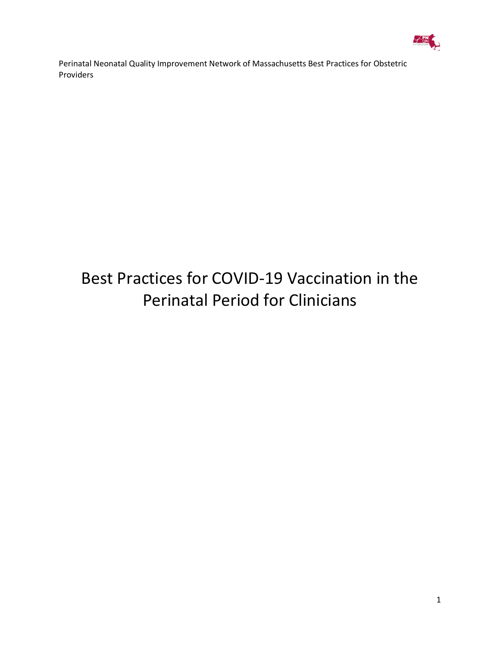

# Best Practices for COVID-19 Vaccination in the Perinatal Period for Clinicians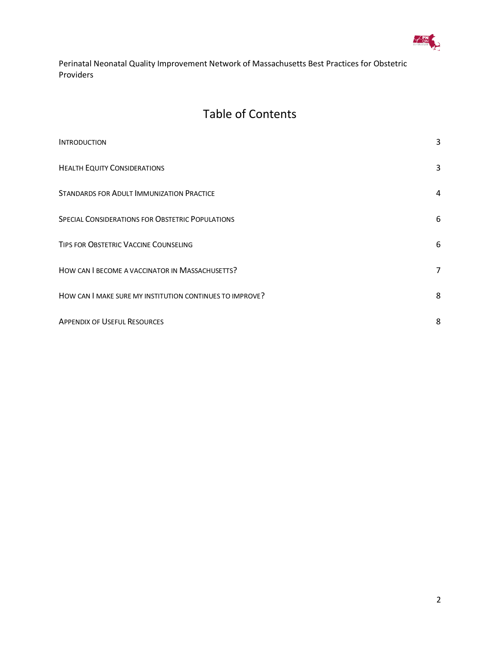

### Table of Contents

| <b>INTRODUCTION</b>                                      | 3 |
|----------------------------------------------------------|---|
| <b>HEALTH EQUITY CONSIDERATIONS</b>                      | 3 |
| STANDARDS FOR ADULT IMMUNIZATION PRACTICE                | 4 |
| SPECIAL CONSIDERATIONS FOR OBSTETRIC POPULATIONS         | 6 |
| TIPS FOR OBSTETRIC VACCINE COUNSELING                    | 6 |
| HOW CAN I BECOME A VACCINATOR IN MASSACHUSETTS?          | 7 |
| HOW CAN I MAKE SURE MY INSTITUTION CONTINUES TO IMPROVE? | 8 |
| <b>APPENDIX OF USEFUL RESOURCES</b>                      | 8 |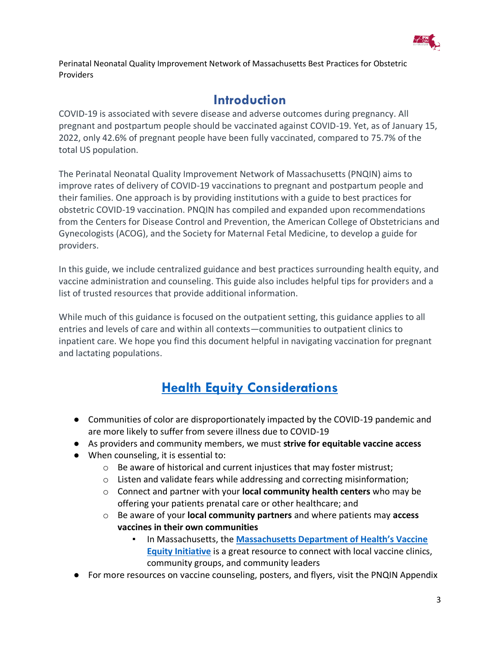

#### **Introduction**

<span id="page-2-0"></span>COVID-19 is associated with severe disease and adverse outcomes during pregnancy. All pregnant and postpartum people should be vaccinated against COVID-19. Yet, as of January 15, 2022, only 42.6% of pregnant people have been fully vaccinated, compared to 75.7% of the total US population.

The Perinatal Neonatal Quality Improvement Network of Massachusetts (PNQIN) aims to improve rates of delivery of COVID-19 vaccinations to pregnant and postpartum people and their families. One approach is by providing institutions with a guide to best practices for obstetric COVID-19 vaccination. PNQIN has compiled and expanded upon recommendations from the Centers for Disease Control and Prevention, the American College of Obstetricians and Gynecologists (ACOG), and the Society for Maternal Fetal Medicine, to develop a guide for providers.

In this guide, we include centralized guidance and best practices surrounding health equity, and vaccine administration and counseling. This guide also includes helpful tips for providers and a list of trusted resources that provide additional information.

While much of this guidance is focused on the outpatient setting, this guidance applies to all entries and levels of care and within all contexts—communities to outpatient clinics to inpatient care. We hope you find this document helpful in navigating vaccination for pregnant and lactating populations.

## **[Health Equity Considerations](https://www.acog.org/clinical/clinical-guidance/practice-advisory/articles/2020/12/covid-19-vaccination-considerations-for-obstetric-gynecologic-care)**

- <span id="page-2-1"></span>● Communities of color are disproportionately impacted by the COVID-19 pandemic and are more likely to suffer from severe illness due to COVID-19
- As providers and community members, we must **strive for equitable vaccine access**
- When counseling, it is essential to:
	- $\circ$  Be aware of historical and current injustices that may foster mistrust;
	- o Listen and validate fears while addressing and correcting misinformation;
	- o Connect and partner with your **local community health centers** who may be offering your patients prenatal care or other healthcare; and
	- o Be aware of your **local community partners** and where patients may **access vaccines in their own communities**
		- In Massachusetts, the **[Massachusetts Department of Health's Vaccine](https://www.mass.gov/resource/covid-19-vaccine-equity-initiative-communities)  [Equity Initiative](https://www.mass.gov/resource/covid-19-vaccine-equity-initiative-communities)** is a great resource to connect with local vaccine clinics, community groups, and community leaders
- For more resources on vaccine counseling, posters, and flyers, visit the PNQIN Appendix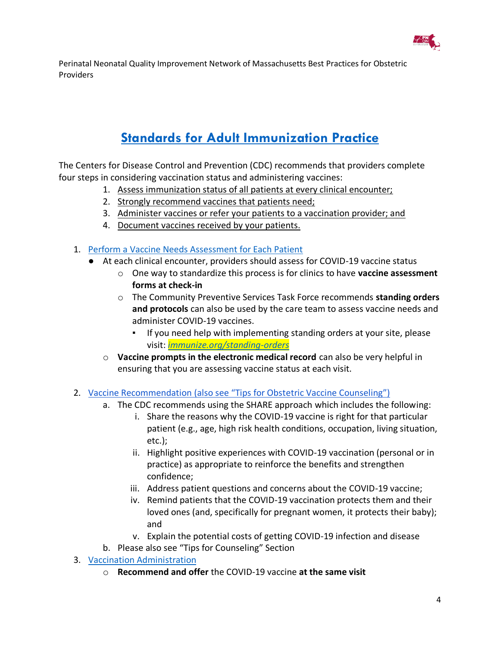

# **[Standards for Adult Immunization Practice](https://www.cdc.gov/vaccines/hcp/adults/for-practice/standards/index.html)**

<span id="page-3-0"></span>The Centers for Disease Control and Prevention (CDC) recommends that providers complete four steps in considering vaccination status and administering vaccines:

- 1. Assess immunization status of all patients at every clinical encounter;
- 2. Strongly recommend vaccines that patients need;
- 3. Administer vaccines or refer your patients to a vaccination provider; and
- 4. Document vaccines received by your patients.
- 1. [Perform a Vaccine Needs Assessment for Each Patient](https://www.cdc.gov/vaccines/hcp/adults/downloads/standards-immz-practice-assessment.pdf)
	- At each clinical encounter, providers should assess for COVID-19 vaccine status
		- o One way to standardize this process is for clinics to have **vaccine assessment forms at check-in**
		- o The Community Preventive Services Task Force recommends **standing orders and protocols** can also be used by the care team to assess vaccine needs and administer COVID-19 vaccines.
			- If you need help with implementing standing orders at your site, please visit: *[immunize.org/standing-orders](http://immunize.org/standing-orders)*
		- o **Vaccine prompts in the electronic medical record** can also be very helpful in ensuring that you are assessing vaccine status at each visit.
- 2. [Vaccine Recommendation \(also see "Tips for Obstetric Vaccine Counseling"\)](https://www.acog.org/covid-19/covid-19-vaccines-and-pregnancy-conversation-guide-for-clinicians)
	- a. The CDC recommends using the SHARE approach which includes the following:
		- i. Share the reasons why the COVID-19 vaccine is right for that particular patient (e.g., age, high risk health conditions, occupation, living situation, etc.);
		- ii. Highlight positive experiences with COVID-19 vaccination (personal or in practice) as appropriate to reinforce the benefits and strengthen confidence;
		- iii. Address patient questions and concerns about the COVID-19 vaccine;
		- iv. Remind patients that the COVID-19 vaccination protects them and their loved ones (and, specifically for pregnant women, it protects their baby); and
		- v. Explain the potential costs of getting COVID-19 infection and disease
	- b. Please also see "Tips for Counseling" Section
- 3. [Vaccination Administration](https://www.cdc.gov/vaccines/hcp/adults/downloads/standards-immz-practice-admin.pdf)
	- o **Recommend and offer** the COVID-19 vaccine **at the same visit**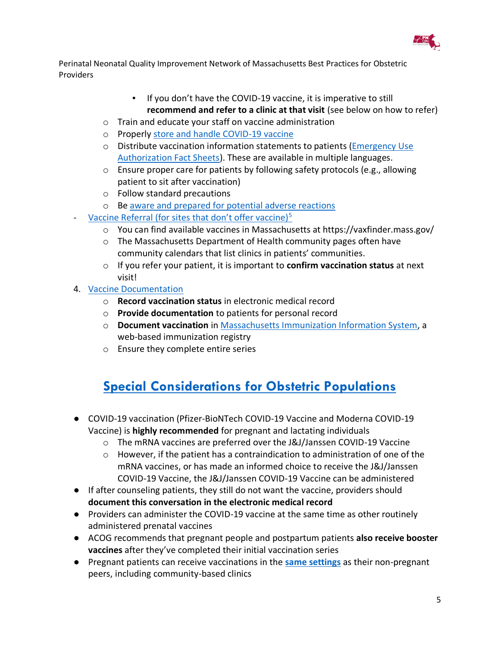

- If you don't have the COVID-19 vaccine, it is imperative to still **recommend and refer to a clinic at that visit** (see below on how to refer)
- o Train and educate your staff on vaccine administration
- o Properly [store and handle COVID-19 vaccine](https://www.cdc.gov/vaccines/hcp/admin/storage/toolkit/storage-handling-toolkit.pdf)
- $\circ$  Distribute vaccination information statements to patients (Emergency Use [Authorization Fact Sheets\)](https://www.cdc.gov/vaccines/covid-19/eua/index.html). These are available in multiple languages.
- o Ensure proper care for patients by following safety protocols (e.g., allowing patient to sit after vaccination)
- o Follow standard precautions
- o Be [aware and prepared for potential adverse reactions](https://vaers.hhs.gov/reportevent.html)
- [Vaccine Referral \(for sites that don't offer vaccine\)](https://www.cdc.gov/vaccines/hcp/adults/downloads/standards-immz-practice-referral.pdf) $5$ 
	- $\circ$  You can find available vaccines in Massachusetts at https://vaxfinder.mass.gov/
	- o The Massachusetts Department of Health community pages often have community calendars that list clinics in patients' communities.
	- o If you refer your patient, it is important to **confirm vaccination status** at next visit!
- 4. [Vaccine Documentation](https://www.cdc.gov/vaccines/hcp/adults/downloads/standards-documentation.pdf)
	- o **Record vaccination status** in electronic medical record
	- o **Provide documentation** to patients for personal record
	- o **Document vaccination** in [Massachusetts Immunization Information System,](https://www.mass.gov/massachusetts-immunization-information-system-miis) a web-based immunization registry
	- o Ensure they complete entire series

# <span id="page-4-0"></span>**[Special Considerations for Obstetric Populations](https://www.acog.org/clinical/clinical-guidance/practice-advisory/articles/2020/12/covid-19-vaccination-considerations-for-obstetric-gynecologic-care)**

- COVID-19 vaccination (Pfizer-BioNTech COVID-19 Vaccine and Moderna COVID-19 Vaccine) is **highly recommended** for pregnant and lactating individuals
	- o The mRNA vaccines are preferred over the J&J/Janssen COVID-19 Vaccine
	- $\circ$  However, if the patient has a contraindication to administration of one of the mRNA vaccines, or has made an informed choice to receive the J&J/Janssen COVID-19 Vaccine, the J&J/Janssen COVID-19 Vaccine can be administered
- If after counseling patients, they still do not want the vaccine, providers should **document this conversation in the electronic medical record**
- Providers can administer the COVID-19 vaccine at the same time as other routinely administered prenatal vaccines
- ACOG recommends that pregnant people and postpartum patients **also receive booster vaccines** after they've completed their initial vaccination series
- Pregnant patients can receive vaccinations in the **[same settings](https://www.acog.org/-/media/project/acog/acogorg/files/pdfs/clinical-guidance/practice-advisory/covid-19-vaccination-site-recommendations.pdf)** as their non-pregnant peers, including community-based clinics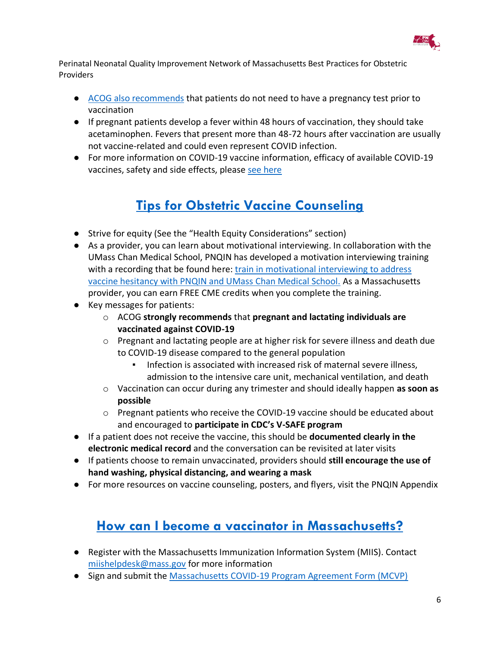

- [ACOG also recommends](https://www.acog.org/-/media/project/acog/acogorg/files/pdfs/clinical-guidance/practice-advisory/covid-19-vaccination-site-recommendations.pdf) that patients do not need to have a pregnancy test prior to vaccination
- If pregnant patients develop a fever within 48 hours of vaccination, they should take acetaminophen. Fevers that present more than 48-72 hours after vaccination are usually not vaccine-related and could even represent COVID infection.
- <span id="page-5-0"></span>● For more information on COVID-19 vaccine information, efficacy of available COVID-19 vaccines, safety and side effects, please [see here](https://www.acog.org/clinical/clinical-guidance/practice-advisory/articles/2020/12/covid-19-vaccination-considerations-for-obstetric-gynecologic-care)

## **[Tips for Obstetric Vaccine Counseling](https://www.acog.org/covid-19/covid-19-vaccines-and-pregnancy-conversation-guide-for-clinicians)**

- Strive for equity (See the "Health Equity Considerations" section)
- As a provider, you can learn about motivational interviewing. In collaboration with the UMass Chan Medical School, PNQIN has developed a motivation interviewing training with a recording that be found here: train in motivational interviewing to address [vaccine hesitancy with PNQIN and UMass Chan Medical School.](https://www.pnqinma.org/vaccine-initiative-events-trainings) As a Massachusetts provider, you can earn FREE CME credits when you complete the training.
- Key messages for patients:
	- o ACOG **strongly recommends** that **pregnant and lactating individuals are vaccinated against COVID-19**
	- o Pregnant and lactating people are at higher risk for severe illness and death due to COVID-19 disease compared to the general population
		- Infection is associated with increased risk of maternal severe illness, admission to the intensive care unit, mechanical ventilation, and death
	- o Vaccination can occur during any trimester and should ideally happen **as soon as possible**
	- o Pregnant patients who receive the COVID-19 vaccine should be educated about and encouraged to **participate in CDC's V-SAFE program**
- If a patient does not receive the vaccine, this should be **documented clearly in the electronic medical record** and the conversation can be revisited at later visits
- If patients choose to remain unvaccinated, providers should **still encourage the use of hand washing, physical distancing, and wearing a mask**
- <span id="page-5-1"></span>● For more resources on vaccine counseling, posters, and flyers, visit the PNQIN Appendix

### **[How can I become a vaccinator in Massachusetts?](https://www.mass.gov/doc/covid-19-vaccine-guidance-for-vaccine-providers/download)**

- Register with the Massachusetts Immunization Information System (MIIS). Contact [miishelpdesk@mass.gov](mailto:miishelpdesk@mass.gov) for more information
- Sign and submit the [Massachusetts COVID-19 Program Agreement Form \(MCVP\)](https://www.mass.gov/info-details/massachusetts-covid-19-vaccine-program-mcvp-guidance-for-vaccine-providers-and-organizations)